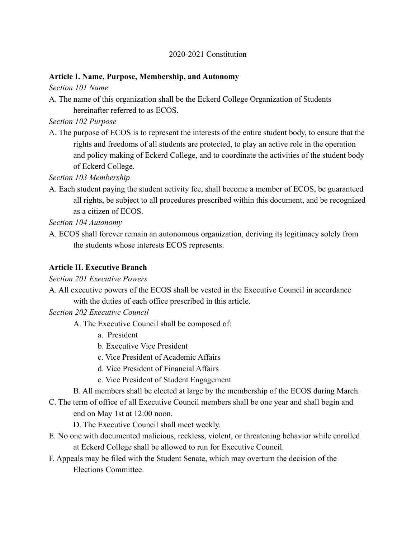#### 2020-2021 Constitution

#### **Article I. Name, Purpose, Membership, and Autonomy**

*Section 101 Name*

A. The name of this organization shall be the Eckerd College Organization of Students hereinafter referred to as ECOS.

*Section 102 Purpose*

A. The purpose of ECOS is to represent the interests of the entire student body, to ensure that the rights and freedoms of all students are protected, to play an active role in the operation and policy making of Eckerd College, and to coordinate the activities of the student body of Eckerd College.

*Section 103 Membership*

A. Each student paying the student activity fee, shall become a member of ECOS, be guaranteed all rights, be subject to all procedures prescribed within this document, and be recognized as a citizen of ECOS.

*Section 104 Autonomy*

A. ECOS shall forever remain an autonomous organization, deriving its legitimacy solely from the students whose interests ECOS represents.

## **Article II. Executive Branch**

*Section 201 Executive Powers*

A. All executive powers of the ECOS shall be vested in the Executive Council in accordance with the duties of each office prescribed in this article.

*Section 202 Executive Council*

- A. The Executive Council shall be composed of:
	- a. President
	- b. Executive Vice President
	- c. Vice President of Academic Affairs
	- d. Vice President of Financial Affairs
	- e. Vice President of Student Engagement

B. All members shall be elected at large by the membership of the ECOS during March.

C. The term of office of all Executive Council members shall be one year and shall begin and end on May 1st at 12:00 noon.

D. The Executive Council shall meet weekly.

- E. No one with documented malicious, reckless, violent, or threatening behavior while enrolled at Eckerd College shall be allowed to run for Executive Council.
- F. Appeals may be filed with the Student Senate, which may overturn the decision of the Elections Committee.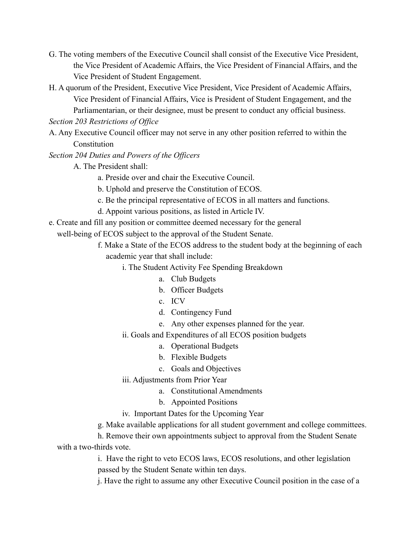- G. The voting members of the Executive Council shall consist of the Executive Vice President, the Vice President of Academic Affairs, the Vice President of Financial Affairs, and the Vice President of Student Engagement.
- H. A quorum of the President, Executive Vice President, Vice President of Academic Affairs, Vice President of Financial Affairs, Vice is President of Student Engagement, and the Parliamentarian, or their designee, must be present to conduct any official business.

*Section 203 Restrictions of Office*

- A. Any Executive Council officer may not serve in any other position referred to within the **Constitution**
- *Section 204 Duties and Powers of the Officers*
	- A. The President shall:
		- a. Preside over and chair the Executive Council.
		- b. Uphold and preserve the Constitution of ECOS.
		- c. Be the principal representative of ECOS in all matters and functions.
		- d. Appoint various positions, as listed in Article IV.
- e. Create and fill any position or committee deemed necessary for the general
	- well-being of ECOS subject to the approval of the Student Senate.
		- f. Make a State of the ECOS address to the student body at the beginning of each academic year that shall include:
			- i. The Student Activity Fee Spending Breakdown
				- a. Club Budgets
				- b. Officer Budgets
				- c. ICV
				- d. Contingency Fund
				- e. Any other expenses planned for the year.
			- ii. Goals and Expenditures of all ECOS position budgets
				- a. Operational Budgets
				- b. Flexible Budgets
				- c. Goals and Objectives
			- iii. Adjustments from Prior Year
				- a. Constitutional Amendments
				- b. Appointed Positions
			- iv. Important Dates for the Upcoming Year
		- g. Make available applications for all student government and college committees.

h. Remove their own appointments subject to approval from the Student Senate with a two-thirds vote.

> i. Have the right to veto ECOS laws, ECOS resolutions, and other legislation passed by the Student Senate within ten days.

j. Have the right to assume any other Executive Council position in the case of a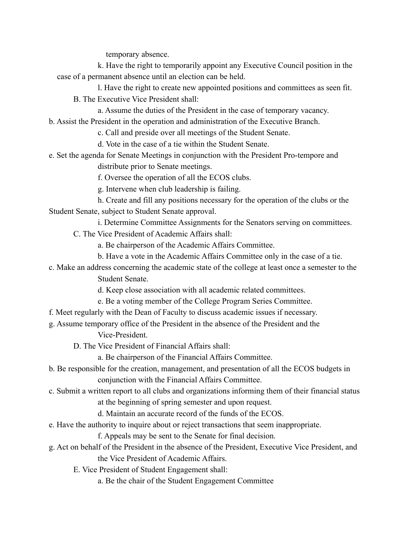temporary absence.

k. Have the right to temporarily appoint any Executive Council position in the case of a permanent absence until an election can be held.

l. Have the right to create new appointed positions and committees as seen fit. B. The Executive Vice President shall:

a. Assume the duties of the President in the case of temporary vacancy.

b. Assist the President in the operation and administration of the Executive Branch.

c. Call and preside over all meetings of the Student Senate.

d. Vote in the case of a tie within the Student Senate.

e. Set the agenda for Senate Meetings in conjunction with the President Pro-tempore and

distribute prior to Senate meetings.

f. Oversee the operation of all the ECOS clubs.

g. Intervene when club leadership is failing.

h. Create and fill any positions necessary for the operation of the clubs or the Student Senate, subject to Student Senate approval.

i. Determine Committee Assignments for the Senators serving on committees.

C. The Vice President of Academic Affairs shall:

a. Be chairperson of the Academic Affairs Committee.

- b. Have a vote in the Academic Affairs Committee only in the case of a tie.
- c. Make an address concerning the academic state of the college at least once a semester to the

Student Senate.

d. Keep close association with all academic related committees.

- e. Be a voting member of the College Program Series Committee.
- f. Meet regularly with the Dean of Faculty to discuss academic issues if necessary.

g. Assume temporary office of the President in the absence of the President and the

Vice-President.

D. The Vice President of Financial Affairs shall:

a. Be chairperson of the Financial Affairs Committee.

- b. Be responsible for the creation, management, and presentation of all the ECOS budgets in conjunction with the Financial Affairs Committee.
- c. Submit a written report to all clubs and organizations informing them of their financial status

at the beginning of spring semester and upon request.

d. Maintain an accurate record of the funds of the ECOS.

e. Have the authority to inquire about or reject transactions that seem inappropriate.

f. Appeals may be sent to the Senate for final decision.

g. Act on behalf of the President in the absence of the President, Executive Vice President, and the Vice President of Academic Affairs.

E. Vice President of Student Engagement shall:

a. Be the chair of the Student Engagement Committee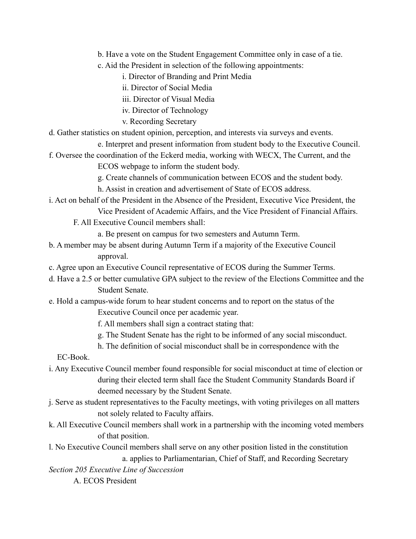- b. Have a vote on the Student Engagement Committee only in case of a tie.
- c. Aid the President in selection of the following appointments:
	- i. Director of Branding and Print Media
	- ii. Director of Social Media
	- iii. Director of Visual Media
	- iv. Director of Technology
	- v. Recording Secretary
- d. Gather statistics on student opinion, perception, and interests via surveys and events.
	- e. Interpret and present information from student body to the Executive Council.
- f. Oversee the coordination of the Eckerd media, working with WECX, The Current, and the ECOS webpage to inform the student body.
	- g. Create channels of communication between ECOS and the student body.
	- h. Assist in creation and advertisement of State of ECOS address.
- i. Act on behalf of the President in the Absence of the President, Executive Vice President, the Vice President of Academic Affairs, and the Vice President of Financial Affairs.
	- F. All Executive Council members shall:
		- a. Be present on campus for two semesters and Autumn Term.
- b. A member may be absent during Autumn Term if a majority of the Executive Council approval.
- c. Agree upon an Executive Council representative of ECOS during the Summer Terms.
- d. Have a 2.5 or better cumulative GPA subject to the review of the Elections Committee and the Student Senate.
- e. Hold a campus-wide forum to hear student concerns and to report on the status of the Executive Council once per academic year.
	- f. All members shall sign a contract stating that:
	- g. The Student Senate has the right to be informed of any social misconduct.
	- h. The definition of social misconduct shall be in correspondence with the

EC-Book.

- i. Any Executive Council member found responsible for social misconduct at time of election or during their elected term shall face the Student Community Standards Board if deemed necessary by the Student Senate.
- j. Serve as student representatives to the Faculty meetings, with voting privileges on all matters not solely related to Faculty affairs.
- k. All Executive Council members shall work in a partnership with the incoming voted members of that position.
- l. No Executive Council members shall serve on any other position listed in the constitution a. applies to Parliamentarian, Chief of Staff, and Recording Secretary

*Section 205 Executive Line of Succession*

A. ECOS President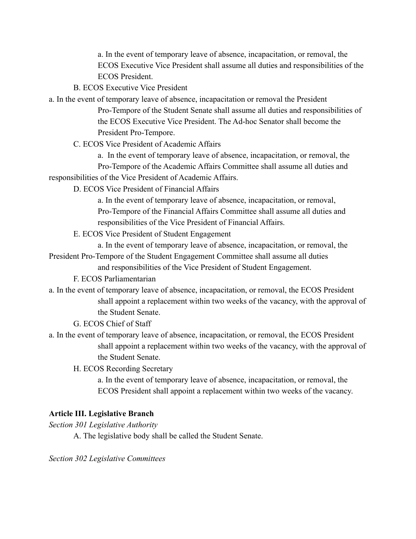a. In the event of temporary leave of absence, incapacitation, or removal, the ECOS Executive Vice President shall assume all duties and responsibilities of the ECOS President.

- B. ECOS Executive Vice President
- a. In the event of temporary leave of absence, incapacitation or removal the President Pro-Tempore of the Student Senate shall assume all duties and responsibilities of the ECOS Executive Vice President. The Ad-hoc Senator shall become the President Pro-Tempore.
	- C. ECOS Vice President of Academic Affairs

a. In the event of temporary leave of absence, incapacitation, or removal, the Pro-Tempore of the Academic Affairs Committee shall assume all duties and

responsibilities of the Vice President of Academic Affairs.

D. ECOS Vice President of Financial Affairs

a. In the event of temporary leave of absence, incapacitation, or removal, Pro-Tempore of the Financial Affairs Committee shall assume all duties and responsibilities of the Vice President of Financial Affairs.

E. ECOS Vice President of Student Engagement

a. In the event of temporary leave of absence, incapacitation, or removal, the President Pro-Tempore of the Student Engagement Committee shall assume all duties

and responsibilities of the Vice President of Student Engagement.

F. ECOS Parliamentarian

- a. In the event of temporary leave of absence, incapacitation, or removal, the ECOS President shall appoint a replacement within two weeks of the vacancy, with the approval of the Student Senate.
	- G. ECOS Chief of Staff
- a. In the event of temporary leave of absence, incapacitation, or removal, the ECOS President shall appoint a replacement within two weeks of the vacancy, with the approval of the Student Senate.
	- H. ECOS Recording Secretary

a. In the event of temporary leave of absence, incapacitation, or removal, the ECOS President shall appoint a replacement within two weeks of the vacancy.

## **Article III. Legislative Branch**

*Section 301 Legislative Authority*

A. The legislative body shall be called the Student Senate.

*Section 302 Legislative Committees*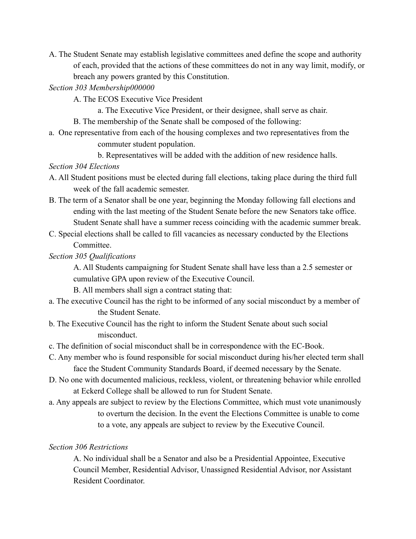A. The Student Senate may establish legislative committees aned define the scope and authority of each, provided that the actions of these committees do not in any way limit, modify, or breach any powers granted by this Constitution.

*Section 303 Membership000000*

- A. The ECOS Executive Vice President
	- a. The Executive Vice President, or their designee, shall serve as chair.
- B. The membership of the Senate shall be composed of the following:
- a. One representative from each of the housing complexes and two representatives from the commuter student population.

b. Representatives will be added with the addition of new residence halls.

#### *Section 304 Elections*

- A. All Student positions must be elected during fall elections, taking place during the third full week of the fall academic semester.
- B. The term of a Senator shall be one year, beginning the Monday following fall elections and ending with the last meeting of the Student Senate before the new Senators take office. Student Senate shall have a summer recess coinciding with the academic summer break.
- C. Special elections shall be called to fill vacancies as necessary conducted by the Elections **Committee**

*Section 305 Qualifications*

A. All Students campaigning for Student Senate shall have less than a 2.5 semester or cumulative GPA upon review of the Executive Council.

B. All members shall sign a contract stating that:

- a. The executive Council has the right to be informed of any social misconduct by a member of the Student Senate.
- b. The Executive Council has the right to inform the Student Senate about such social misconduct.
- c. The definition of social misconduct shall be in correspondence with the EC-Book.
- C. Any member who is found responsible for social misconduct during his/her elected term shall face the Student Community Standards Board, if deemed necessary by the Senate.
- D. No one with documented malicious, reckless, violent, or threatening behavior while enrolled at Eckerd College shall be allowed to run for Student Senate.
- a. Any appeals are subject to review by the Elections Committee, which must vote unanimously to overturn the decision. In the event the Elections Committee is unable to come to a vote, any appeals are subject to review by the Executive Council.

## *Section 306 Restrictions*

A. No individual shall be a Senator and also be a Presidential Appointee, Executive Council Member, Residential Advisor, Unassigned Residential Advisor, nor Assistant Resident Coordinator.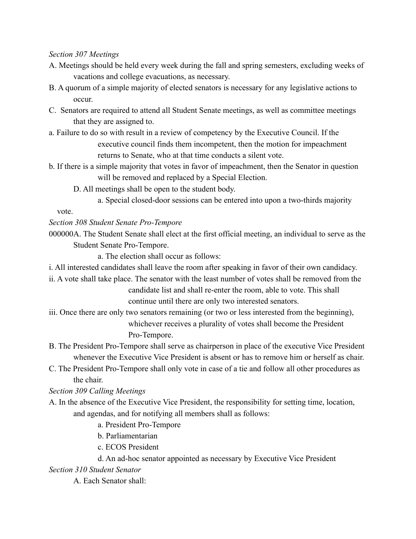#### *Section 307 Meetings*

- A. Meetings should be held every week during the fall and spring semesters, excluding weeks of vacations and college evacuations, as necessary.
- B. A quorum of a simple majority of elected senators is necessary for any legislative actions to occur.
- C. Senators are required to attend all Student Senate meetings, as well as committee meetings that they are assigned to.
- a. Failure to do so with result in a review of competency by the Executive Council. If the executive council finds them incompetent, then the motion for impeachment returns to Senate, who at that time conducts a silent vote.
- b. If there is a simple majority that votes in favor of impeachment, then the Senator in question will be removed and replaced by a Special Election.
	- D. All meetings shall be open to the student body.
		- a. Special closed-door sessions can be entered into upon a two-thirds majority

vote.

## *Section 308 Student Senate Pro-Tempore*

000000A. The Student Senate shall elect at the first official meeting, an individual to serve as the Student Senate Pro-Tempore.

a. The election shall occur as follows:

- i. All interested candidates shall leave the room after speaking in favor of their own candidacy.
- ii. A vote shall take place. The senator with the least number of votes shall be removed from the candidate list and shall re-enter the room, able to vote. This shall

continue until there are only two interested senators.

- iii. Once there are only two senators remaining (or two or less interested from the beginning), whichever receives a plurality of votes shall become the President Pro-Tempore.
- B. The President Pro-Tempore shall serve as chairperson in place of the executive Vice President whenever the Executive Vice President is absent or has to remove him or herself as chair.
- C. The President Pro-Tempore shall only vote in case of a tie and follow all other procedures as the chair.

*Section 309 Calling Meetings*

- A. In the absence of the Executive Vice President, the responsibility for setting time, location, and agendas, and for notifying all members shall as follows:
	- a. President Pro-Tempore
	- b. Parliamentarian
	- c. ECOS President
	- d. An ad-hoc senator appointed as necessary by Executive Vice President

*Section 310 Student Senator*

A. Each Senator shall: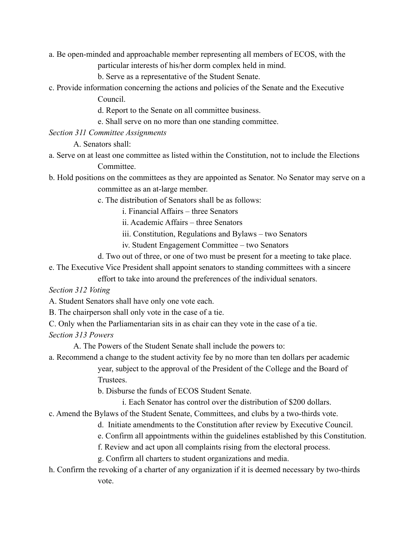a. Be open-minded and approachable member representing all members of ECOS, with the

particular interests of his/her dorm complex held in mind.

b. Serve as a representative of the Student Senate.

- c. Provide information concerning the actions and policies of the Senate and the Executive Council.
	- d. Report to the Senate on all committee business.
	- e. Shall serve on no more than one standing committee.

*Section 311 Committee Assignments*

A. Senators shall:

- a. Serve on at least one committee as listed within the Constitution, not to include the Elections Committee.
- b. Hold positions on the committees as they are appointed as Senator. No Senator may serve on a committee as an at-large member.
	- c. The distribution of Senators shall be as follows:
		- i. Financial Affairs three Senators
		- ii. Academic Affairs three Senators
		- iii. Constitution, Regulations and Bylaws two Senators
		- iv. Student Engagement Committee two Senators
	- d. Two out of three, or one of two must be present for a meeting to take place.
- e. The Executive Vice President shall appoint senators to standing committees with a sincere

effort to take into around the preferences of the individual senators.

*Section 312 Voting*

A. Student Senators shall have only one vote each.

B. The chairperson shall only vote in the case of a tie.

C. Only when the Parliamentarian sits in as chair can they vote in the case of a tie.

*Section 313 Powers*

A. The Powers of the Student Senate shall include the powers to:

a. Recommend a change to the student activity fee by no more than ten dollars per academic

year, subject to the approval of the President of the College and the Board of **Trustees** 

b. Disburse the funds of ECOS Student Senate.

i. Each Senator has control over the distribution of \$200 dollars.

- c. Amend the Bylaws of the Student Senate, Committees, and clubs by a two-thirds vote.
	- d. Initiate amendments to the Constitution after review by Executive Council.
	- e. Confirm all appointments within the guidelines established by this Constitution.
	- f. Review and act upon all complaints rising from the electoral process.
	- g. Confirm all charters to student organizations and media.
- h. Confirm the revoking of a charter of any organization if it is deemed necessary by two-thirds vote.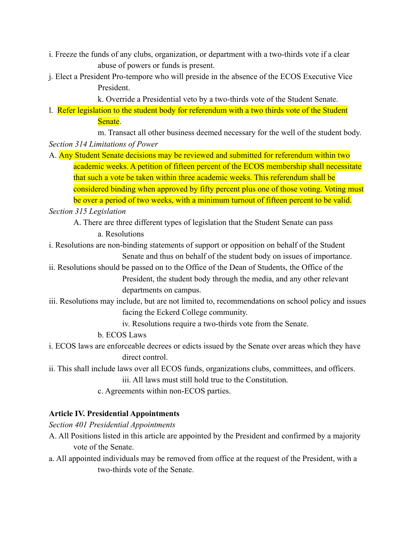- i. Freeze the funds of any clubs, organization, or department with a two-thirds vote if a clear abuse of powers or funds is present.
- j. Elect a President Pro-tempore who will preside in the absence of the ECOS Executive Vice President.

k. Override a Presidential veto by a two-thirds vote of the Student Senate.

l. Refer legislation to the student body for referendum with a two thirds vote of the Student Senate.

m. Transact all other business deemed necessary for the well of the student body. *Section 314 Limitations of Power*

A. Any Student Senate decisions may be reviewed and submitted for referendum within two academic weeks. A petition of fifteen percent of the ECOS membership shall necessitate that such a vote be taken within three academic weeks. This referendum shall be considered binding when approved by fifty percent plus one of those voting. Voting must be over a period of two weeks, with a minimum turnout of fifteen percent to be valid.

*Section 315 Legislation*

- A. There are three different types of legislation that the Student Senate can pass a. Resolutions
- i. Resolutions are non-binding statements of support or opposition on behalf of the Student Senate and thus on behalf of the student body on issues of importance.
- ii. Resolutions should be passed on to the Office of the Dean of Students, the Office of the President, the student body through the media, and any other relevant departments on campus.
- iii. Resolutions may include, but are not limited to, recommendations on school policy and issues facing the Eckerd College community.

iv. Resolutions require a two-thirds vote from the Senate.

b. ECOS Laws

- i. ECOS laws are enforceable decrees or edicts issued by the Senate over areas which they have direct control.
- ii. This shall include laws over all ECOS funds, organizations clubs, committees, and officers. iii. All laws must still hold true to the Constitution.
	- c. Agreements within non-ECOS parties.

## **Article IV. Presidential Appointments**

*Section 401 Presidential Appointments*

- A. All Positions listed in this article are appointed by the President and confirmed by a majority vote of the Senate.
- a. All appointed individuals may be removed from office at the request of the President, with a two-thirds vote of the Senate.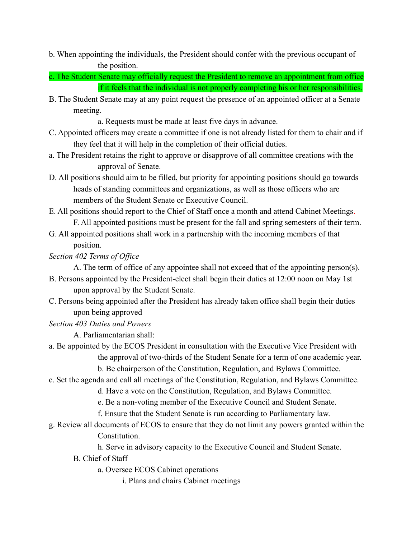- b. When appointing the individuals, the President should confer with the previous occupant of the position.
- c. The Student Senate may officially request the President to remove an appointment from office if it feels that the individual is not properly completing his or her responsibilities.
- B. The Student Senate may at any point request the presence of an appointed officer at a Senate meeting.

a. Requests must be made at least five days in advance.

- C. Appointed officers may create a committee if one is not already listed for them to chair and if they feel that it will help in the completion of their official duties.
- a. The President retains the right to approve or disapprove of all committee creations with the approval of Senate.
- D. All positions should aim to be filled, but priority for appointing positions should go towards heads of standing committees and organizations, as well as those officers who are members of the Student Senate or Executive Council.
- E. All positions should report to the Chief of Staff once a month and attend Cabinet Meetings. F. All appointed positions must be present for the fall and spring semesters of their term.
- G. All appointed positions shall work in a partnership with the incoming members of that position.

*Section 402 Terms of Office*

A. The term of office of any appointee shall not exceed that of the appointing person(s).

- B. Persons appointed by the President-elect shall begin their duties at 12:00 noon on May 1st upon approval by the Student Senate.
- C. Persons being appointed after the President has already taken office shall begin their duties upon being approved
- *Section 403 Duties and Powers*

A. Parliamentarian shall:

a. Be appointed by the ECOS President in consultation with the Executive Vice President with the approval of two-thirds of the Student Senate for a term of one academic year.

b. Be chairperson of the Constitution, Regulation, and Bylaws Committee.

- c. Set the agenda and call all meetings of the Constitution, Regulation, and Bylaws Committee.
	- d. Have a vote on the Constitution, Regulation, and Bylaws Committee.
		- e. Be a non-voting member of the Executive Council and Student Senate.
		- f. Ensure that the Student Senate is run according to Parliamentary law.
- g. Review all documents of ECOS to ensure that they do not limit any powers granted within the Constitution.
	- h. Serve in advisory capacity to the Executive Council and Student Senate.
	- B. Chief of Staff

a. Oversee ECOS Cabinet operations

i. Plans and chairs Cabinet meetings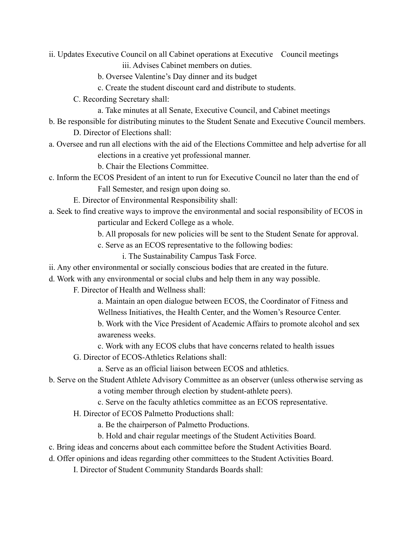- ii. Updates Executive Council on all Cabinet operations at Executive Council meetings iii. Advises Cabinet members on duties.
	- b. Oversee Valentine's Day dinner and its budget
	- c. Create the student discount card and distribute to students.
	- C. Recording Secretary shall:
		- a. Take minutes at all Senate, Executive Council, and Cabinet meetings
- b. Be responsible for distributing minutes to the Student Senate and Executive Council members. D. Director of Elections shall:
- a. Oversee and run all elections with the aid of the Elections Committee and help advertise for all elections in a creative yet professional manner.
	- b. Chair the Elections Committee.
- c. Inform the ECOS President of an intent to run for Executive Council no later than the end of Fall Semester, and resign upon doing so.
	- E. Director of Environmental Responsibility shall:
- a. Seek to find creative ways to improve the environmental and social responsibility of ECOS in particular and Eckerd College as a whole.
	- b. All proposals for new policies will be sent to the Student Senate for approval.
	- c. Serve as an ECOS representative to the following bodies:
		- i. The Sustainability Campus Task Force.
- ii. Any other environmental or socially conscious bodies that are created in the future.
- d. Work with any environmental or social clubs and help them in any way possible.
	- F. Director of Health and Wellness shall:
		- a. Maintain an open dialogue between ECOS, the Coordinator of Fitness and
		- Wellness Initiatives, the Health Center, and the Women's Resource Center.
		- b. Work with the Vice President of Academic Affairs to promote alcohol and sex awareness weeks.
		- c. Work with any ECOS clubs that have concerns related to health issues
		- G. Director of ECOS-Athletics Relations shall:
			- a. Serve as an official liaison between ECOS and athletics.
- b. Serve on the Student Athlete Advisory Committee as an observer (unless otherwise serving as
	- a voting member through election by student-athlete peers).
	- c. Serve on the faculty athletics committee as an ECOS representative.
	- H. Director of ECOS Palmetto Productions shall:
		- a. Be the chairperson of Palmetto Productions.
		- b. Hold and chair regular meetings of the Student Activities Board.
- c. Bring ideas and concerns about each committee before the Student Activities Board.
- d. Offer opinions and ideas regarding other committees to the Student Activities Board.
	- I. Director of Student Community Standards Boards shall: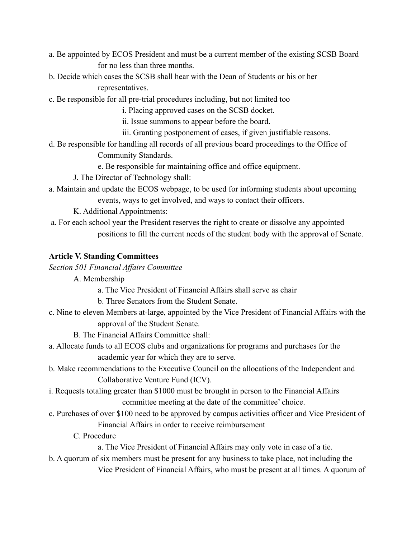- a. Be appointed by ECOS President and must be a current member of the existing SCSB Board for no less than three months.
- b. Decide which cases the SCSB shall hear with the Dean of Students or his or her representatives.
- c. Be responsible for all pre-trial procedures including, but not limited too

i. Placing approved cases on the SCSB docket.

ii. Issue summons to appear before the board.

- iii. Granting postponement of cases, if given justifiable reasons.
- d. Be responsible for handling all records of all previous board proceedings to the Office of

Community Standards.

e. Be responsible for maintaining office and office equipment.

- J. The Director of Technology shall:
- a. Maintain and update the ECOS webpage, to be used for informing students about upcoming events, ways to get involved, and ways to contact their officers.

K. Additional Appointments:

a. For each school year the President reserves the right to create or dissolve any appointed positions to fill the current needs of the student body with the approval of Senate.

#### **Article V. Standing Committees**

*Section 501 Financial Affairs Committee*

- A. Membership
	- a. The Vice President of Financial Affairs shall serve as chair
	- b. Three Senators from the Student Senate.
- c. Nine to eleven Members at-large, appointed by the Vice President of Financial Affairs with the approval of the Student Senate.
	- B. The Financial Affairs Committee shall:
- a. Allocate funds to all ECOS clubs and organizations for programs and purchases for the academic year for which they are to serve.
- b. Make recommendations to the Executive Council on the allocations of the Independent and Collaborative Venture Fund (ICV).
- i. Requests totaling greater than \$1000 must be brought in person to the Financial Affairs committee meeting at the date of the committee' choice.
- c. Purchases of over \$100 need to be approved by campus activities officer and Vice President of Financial Affairs in order to receive reimbursement
	- C. Procedure

a. The Vice President of Financial Affairs may only vote in case of a tie.

b. A quorum of six members must be present for any business to take place, not including the Vice President of Financial Affairs, who must be present at all times. A quorum of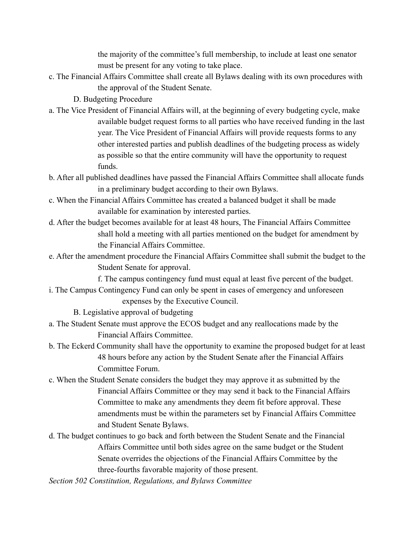the majority of the committee's full membership, to include at least one senator must be present for any voting to take place.

- c. The Financial Affairs Committee shall create all Bylaws dealing with its own procedures with the approval of the Student Senate.
	- D. Budgeting Procedure
- a. The Vice President of Financial Affairs will, at the beginning of every budgeting cycle, make available budget request forms to all parties who have received funding in the last year. The Vice President of Financial Affairs will provide requests forms to any other interested parties and publish deadlines of the budgeting process as widely as possible so that the entire community will have the opportunity to request funds.
- b. After all published deadlines have passed the Financial Affairs Committee shall allocate funds in a preliminary budget according to their own Bylaws.
- c. When the Financial Affairs Committee has created a balanced budget it shall be made available for examination by interested parties.
- d. After the budget becomes available for at least 48 hours, The Financial Affairs Committee shall hold a meeting with all parties mentioned on the budget for amendment by the Financial Affairs Committee.
- e. After the amendment procedure the Financial Affairs Committee shall submit the budget to the Student Senate for approval.

f. The campus contingency fund must equal at least five percent of the budget.

i. The Campus Contingency Fund can only be spent in cases of emergency and unforeseen expenses by the Executive Council.

B. Legislative approval of budgeting

- a. The Student Senate must approve the ECOS budget and any reallocations made by the Financial Affairs Committee.
- b. The Eckerd Community shall have the opportunity to examine the proposed budget for at least 48 hours before any action by the Student Senate after the Financial Affairs Committee Forum.
- c. When the Student Senate considers the budget they may approve it as submitted by the Financial Affairs Committee or they may send it back to the Financial Affairs Committee to make any amendments they deem fit before approval. These amendments must be within the parameters set by Financial Affairs Committee and Student Senate Bylaws.
- d. The budget continues to go back and forth between the Student Senate and the Financial Affairs Committee until both sides agree on the same budget or the Student Senate overrides the objections of the Financial Affairs Committee by the three-fourths favorable majority of those present.

*Section 502 Constitution, Regulations, and Bylaws Committee*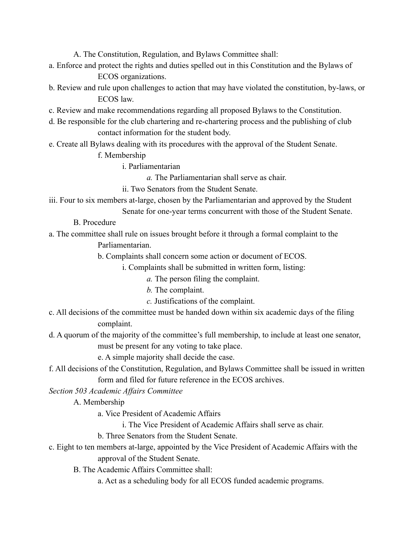A. The Constitution, Regulation, and Bylaws Committee shall:

- a. Enforce and protect the rights and duties spelled out in this Constitution and the Bylaws of ECOS organizations.
- b. Review and rule upon challenges to action that may have violated the constitution, by-laws, or ECOS law.
- c. Review and make recommendations regarding all proposed Bylaws to the Constitution.
- d. Be responsible for the club chartering and re-chartering process and the publishing of club contact information for the student body.
- e. Create all Bylaws dealing with its procedures with the approval of the Student Senate.

f. Membership

i. Parliamentarian

*a.* The Parliamentarian shall serve as chair.

ii. Two Senators from the Student Senate.

- iii. Four to six members at-large, chosen by the Parliamentarian and approved by the Student
	- Senate for one-year terms concurrent with those of the Student Senate.

B. Procedure

a. The committee shall rule on issues brought before it through a formal complaint to the

Parliamentarian.

b. Complaints shall concern some action or document of ECOS.

i. Complaints shall be submitted in written form, listing:

- *a.* The person filing the complaint.
- *b.* The complaint.
- *c.* Justifications of the complaint.
- c. All decisions of the committee must be handed down within six academic days of the filing complaint.
- d. A quorum of the majority of the committee's full membership, to include at least one senator, must be present for any voting to take place.

e. A simple majority shall decide the case.

f. All decisions of the Constitution, Regulation, and Bylaws Committee shall be issued in written form and filed for future reference in the ECOS archives.

*Section 503 Academic Affairs Committee*

- A. Membership
	- a. Vice President of Academic Affairs
		- i. The Vice President of Academic Affairs shall serve as chair.
	- b. Three Senators from the Student Senate.
- c. Eight to ten members at-large, appointed by the Vice President of Academic Affairs with the approval of the Student Senate.
	- B. The Academic Affairs Committee shall:
		- a. Act as a scheduling body for all ECOS funded academic programs.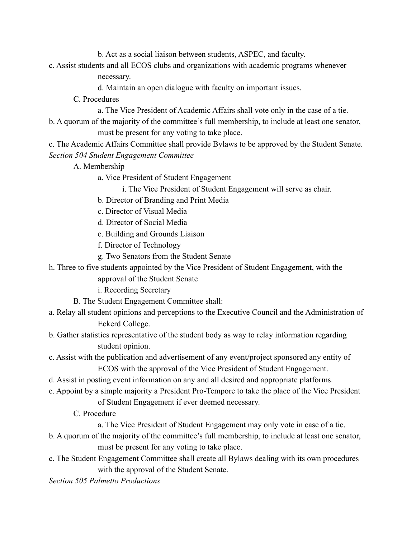b. Act as a social liaison between students, ASPEC, and faculty.

c. Assist students and all ECOS clubs and organizations with academic programs whenever

necessary.

- d. Maintain an open dialogue with faculty on important issues.
- C. Procedures
	- a. The Vice President of Academic Affairs shall vote only in the case of a tie.
- b. A quorum of the majority of the committee's full membership, to include at least one senator, must be present for any voting to take place.

c. The Academic Affairs Committee shall provide Bylaws to be approved by the Student Senate. *Section 504 Student Engagement Committee*

- A. Membership
	- a. Vice President of Student Engagement
		- i. The Vice President of Student Engagement will serve as chair.
	- b. Director of Branding and Print Media
	- c. Director of Visual Media
	- d. Director of Social Media
	- e. Building and Grounds Liaison
	- f. Director of Technology
	- g. Two Senators from the Student Senate
- h. Three to five students appointed by the Vice President of Student Engagement, with the
	- approval of the Student Senate

i. Recording Secretary

- B. The Student Engagement Committee shall:
- a. Relay all student opinions and perceptions to the Executive Council and the Administration of Eckerd College.
- b. Gather statistics representative of the student body as way to relay information regarding student opinion.
- c. Assist with the publication and advertisement of any event/project sponsored any entity of ECOS with the approval of the Vice President of Student Engagement.
- d. Assist in posting event information on any and all desired and appropriate platforms.
- e. Appoint by a simple majority a President Pro-Tempore to take the place of the Vice President of Student Engagement if ever deemed necessary.
	- C. Procedure

a. The Vice President of Student Engagement may only vote in case of a tie.

- b. A quorum of the majority of the committee's full membership, to include at least one senator, must be present for any voting to take place.
- c. The Student Engagement Committee shall create all Bylaws dealing with its own procedures with the approval of the Student Senate.

*Section 505 Palmetto Productions*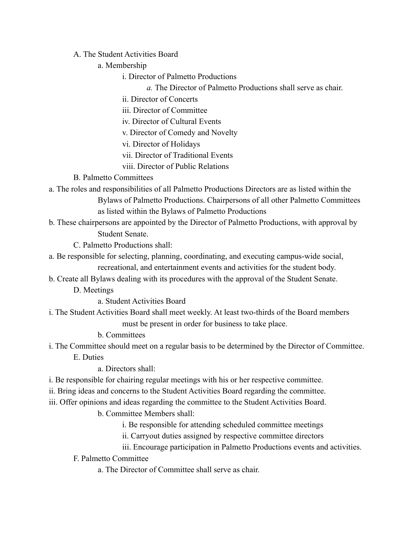A. The Student Activities Board

a. Membership

i. Director of Palmetto Productions

*a.* The Director of Palmetto Productions shall serve as chair.

ii. Director of Concerts

iii. Director of Committee

iv. Director of Cultural Events

v. Director of Comedy and Novelty

vi. Director of Holidays

- vii. Director of Traditional Events
- viii. Director of Public Relations

# B. Palmetto Committees

- a. The roles and responsibilities of all Palmetto Productions Directors are as listed within the Bylaws of Palmetto Productions. Chairpersons of all other Palmetto Committees as listed within the Bylaws of Palmetto Productions
- b. These chairpersons are appointed by the Director of Palmetto Productions, with approval by

Student Senate.

C. Palmetto Productions shall:

- a. Be responsible for selecting, planning, coordinating, and executing campus-wide social, recreational, and entertainment events and activities for the student body.
- b. Create all Bylaws dealing with its procedures with the approval of the Student Senate.
	- D. Meetings

a. Student Activities Board

i. The Student Activities Board shall meet weekly. At least two-thirds of the Board members must be present in order for business to take place.

b. Committees

i. The Committee should meet on a regular basis to be determined by the Director of Committee. E. Duties

a. Directors shall:

- i. Be responsible for chairing regular meetings with his or her respective committee.
- ii. Bring ideas and concerns to the Student Activities Board regarding the committee.

iii. Offer opinions and ideas regarding the committee to the Student Activities Board.

b. Committee Members shall:

i. Be responsible for attending scheduled committee meetings

ii. Carryout duties assigned by respective committee directors

iii. Encourage participation in Palmetto Productions events and activities.

F. Palmetto Committee

a. The Director of Committee shall serve as chair.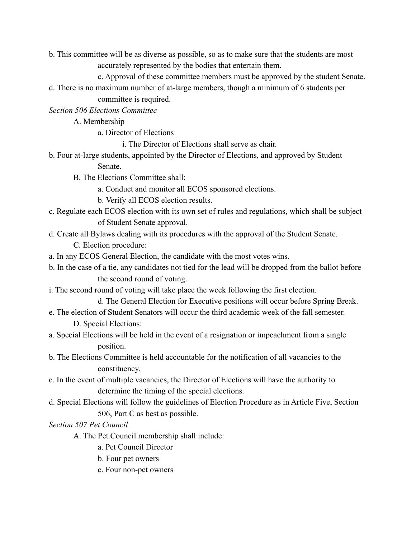b. This committee will be as diverse as possible, so as to make sure that the students are most accurately represented by the bodies that entertain them.

c. Approval of these committee members must be approved by the student Senate.

d. There is no maximum number of at-large members, though a minimum of 6 students per committee is required.

*Section 506 Elections Committee*

A. Membership

a. Director of Elections

i. The Director of Elections shall serve as chair.

b. Four at-large students, appointed by the Director of Elections, and approved by Student

Senate.

B. The Elections Committee shall:

- a. Conduct and monitor all ECOS sponsored elections.
- b. Verify all ECOS election results.
- c. Regulate each ECOS election with its own set of rules and regulations, which shall be subject of Student Senate approval.
- d. Create all Bylaws dealing with its procedures with the approval of the Student Senate.

C. Election procedure:

- a. In any ECOS General Election, the candidate with the most votes wins.
- b. In the case of a tie, any candidates not tied for the lead will be dropped from the ballot before the second round of voting.
- i. The second round of voting will take place the week following the first election.

d. The General Election for Executive positions will occur before Spring Break.

- e. The election of Student Senators will occur the third academic week of the fall semester. D. Special Elections:
- a. Special Elections will be held in the event of a resignation or impeachment from a single position.
- b. The Elections Committee is held accountable for the notification of all vacancies to the constituency.
- c. In the event of multiple vacancies, the Director of Elections will have the authority to determine the timing of the special elections.
- d. Special Elections will follow the guidelines of Election Procedure as in Article Five, Section 506, Part C as best as possible.

*Section 507 Pet Council*

- A. The Pet Council membership shall include:
	- a. Pet Council Director
	- b. Four pet owners
	- c. Four non-pet owners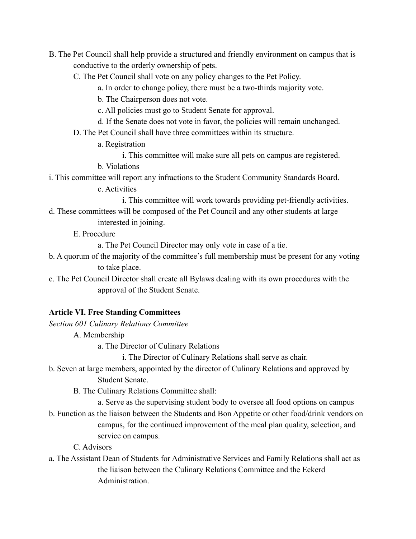- B. The Pet Council shall help provide a structured and friendly environment on campus that is conductive to the orderly ownership of pets.
	- C. The Pet Council shall vote on any policy changes to the Pet Policy.
		- a. In order to change policy, there must be a two-thirds majority vote.
		- b. The Chairperson does not vote.
		- c. All policies must go to Student Senate for approval.
		- d. If the Senate does not vote in favor, the policies will remain unchanged.
	- D. The Pet Council shall have three committees within its structure.
		- a. Registration
			- i. This committee will make sure all pets on campus are registered.
		- b. Violations
- i. This committee will report any infractions to the Student Community Standards Board.
	- c. Activities
		- i. This committee will work towards providing pet-friendly activities.
- d. These committees will be composed of the Pet Council and any other students at large interested in joining.
	- E. Procedure

a. The Pet Council Director may only vote in case of a tie.

- b. A quorum of the majority of the committee's full membership must be present for any voting to take place.
- c. The Pet Council Director shall create all Bylaws dealing with its own procedures with the approval of the Student Senate.

## **Article VI. Free Standing Committees**

- *Section 601 Culinary Relations Committee*
	- A. Membership
		- a. The Director of Culinary Relations

i. The Director of Culinary Relations shall serve as chair.

- b. Seven at large members, appointed by the director of Culinary Relations and approved by Student Senate.
	- B. The Culinary Relations Committee shall:
		- a. Serve as the supervising student body to oversee all food options on campus
- b. Function as the liaison between the Students and Bon Appetite or other food/drink vendors on campus, for the continued improvement of the meal plan quality, selection, and service on campus.

C. Advisors

a. The Assistant Dean of Students for Administrative Services and Family Relations shall act as the liaison between the Culinary Relations Committee and the Eckerd Administration.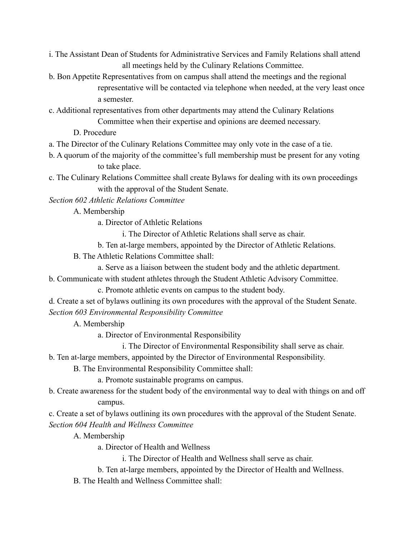- i. The Assistant Dean of Students for Administrative Services and Family Relations shall attend all meetings held by the Culinary Relations Committee.
- b. Bon Appetite Representatives from on campus shall attend the meetings and the regional representative will be contacted via telephone when needed, at the very least once a semester.
- c. Additional representatives from other departments may attend the Culinary Relations Committee when their expertise and opinions are deemed necessary.
	- D. Procedure
- a. The Director of the Culinary Relations Committee may only vote in the case of a tie.
- b. A quorum of the majority of the committee's full membership must be present for any voting to take place.
- c. The Culinary Relations Committee shall create Bylaws for dealing with its own proceedings with the approval of the Student Senate.

*Section 602 Athletic Relations Committee*

A. Membership

a. Director of Athletic Relations

i. The Director of Athletic Relations shall serve as chair.

b. Ten at-large members, appointed by the Director of Athletic Relations.

B. The Athletic Relations Committee shall:

a. Serve as a liaison between the student body and the athletic department.

b. Communicate with student athletes through the Student Athletic Advisory Committee.

c. Promote athletic events on campus to the student body.

d. Create a set of bylaws outlining its own procedures with the approval of the Student Senate. *Section 603 Environmental Responsibility Committee*

A. Membership

a. Director of Environmental Responsibility

i. The Director of Environmental Responsibility shall serve as chair.

b. Ten at-large members, appointed by the Director of Environmental Responsibility.

B. The Environmental Responsibility Committee shall:

a. Promote sustainable programs on campus.

b. Create awareness for the student body of the environmental way to deal with things on and off campus.

c. Create a set of bylaws outlining its own procedures with the approval of the Student Senate. *Section 604 Health and Wellness Committee*

A. Membership

a. Director of Health and Wellness

i. The Director of Health and Wellness shall serve as chair.

b. Ten at-large members, appointed by the Director of Health and Wellness.

B. The Health and Wellness Committee shall: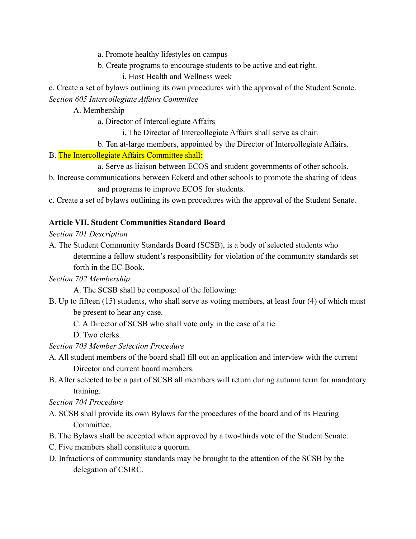- a. Promote healthy lifestyles on campus
- b. Create programs to encourage students to be active and eat right.
	- i. Host Health and Wellness week

c. Create a set of bylaws outlining its own procedures with the approval of the Student Senate. *Section 605 Intercollegiate Affairs Committee*

A. Membership

a. Director of Intercollegiate Affairs

i. The Director of Intercollegiate Affairs shall serve as chair.

b. Ten at-large members, appointed by the Director of Intercollegiate Affairs.

#### B. The Intercollegiate Affairs Committee shall:

- a. Serve as liaison between ECOS and student governments of other schools.
- b. Increase communications between Eckerd and other schools to promote the sharing of ideas and programs to improve ECOS for students.
- c. Create a set of bylaws outlining its own procedures with the approval of the Student Senate.

## **Article VII. Student Communities Standard Board**

*Section 701 Description*

A. The Student Community Standards Board (SCSB), is a body of selected students who determine a fellow student's responsibility for violation of the community standards set forth in the EC-Book.

## *Section 702 Membership*

A. The SCSB shall be composed of the following:

- B. Up to fifteen (15) students, who shall serve as voting members, at least four (4) of which must be present to hear any case.
	- C. A Director of SCSB who shall vote only in the case of a tie.
	- D. Two clerks.

## *Section 703 Member Selection Procedure*

- A. All student members of the board shall fill out an application and interview with the current Director and current board members.
- B. After selected to be a part of SCSB all members will return during autumn term for mandatory training.

#### *Section 704 Procedure*

- A. SCSB shall provide its own Bylaws for the procedures of the board and of its Hearing Committee.
- B. The Bylaws shall be accepted when approved by a two-thirds vote of the Student Senate.
- C. Five members shall constitute a quorum.
- D. Infractions of community standards may be brought to the attention of the SCSB by the delegation of CSIRC.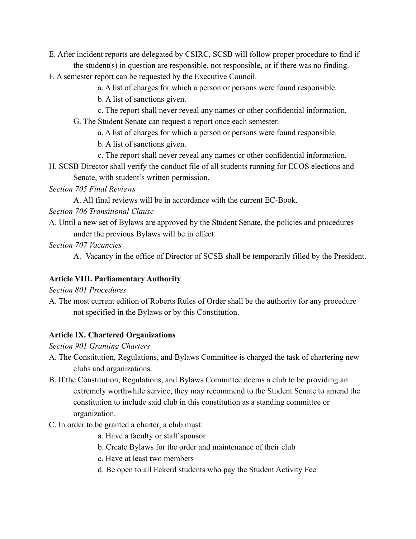- E. After incident reports are delegated by CSIRC, SCSB will follow proper procedure to find if the student(s) in question are responsible, not responsible, or if there was no finding.
- F. A semester report can be requested by the Executive Council.
	- a. A list of charges for which a person or persons were found responsible.
	- b. A list of sanctions given.
	- c. The report shall never reveal any names or other confidential information.
	- G. The Student Senate can request a report once each semester.
		- a. A list of charges for which a person or persons were found responsible.
		- b. A list of sanctions given.
		- c. The report shall never reveal any names or other confidential information.
- H. SCSB Director shall verify the conduct file of all students running for ECOS elections and Senate, with student's written permission.
- *Section 705 Final Reviews*
	- A. All final reviews will be in accordance with the current EC-Book.
- *Section 706 Transitional Clause*
- A. Until a new set of Bylaws are approved by the Student Senate, the policies and procedures under the previous Bylaws will be in effect.
- *Section 707 Vacancies*
	- A. Vacancy in the office of Director of SCSB shall be temporarily filled by the President.

# **Article VIII. Parliamentary Authority**

*Section 801 Procedures*

A. The most current edition of Roberts Rules of Order shall be the authority for any procedure not specified in the Bylaws or by this Constitution.

# **Article IX. Chartered Organizations**

*Section 901 Granting Charters*

- A. The Constitution, Regulations, and Bylaws Committee is charged the task of chartering new clubs and organizations.
- B. If the Constitution, Regulations, and Bylaws Committee deems a club to be providing an extremely worthwhile service, they may recommend to the Student Senate to amend the constitution to include said club in this constitution as a standing committee or organization.
- C. In order to be granted a charter, a club must:
	- a. Have a faculty or staff sponsor
	- b. Create Bylaws for the order and maintenance of their club
	- c. Have at least two members
	- d. Be open to all Eckerd students who pay the Student Activity Fee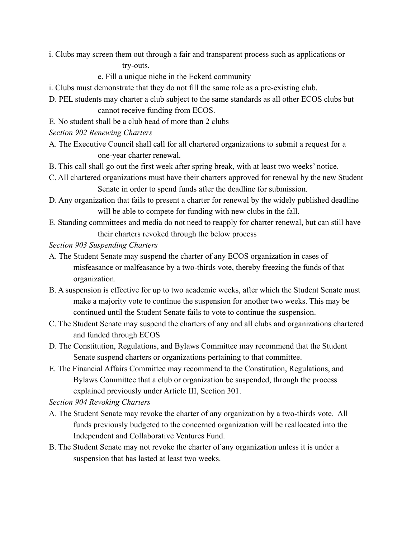i. Clubs may screen them out through a fair and transparent process such as applications or

try-outs.

e. Fill a unique niche in the Eckerd community

- i. Clubs must demonstrate that they do not fill the same role as a pre-existing club.
- D. PEL students may charter a club subject to the same standards as all other ECOS clubs but cannot receive funding from ECOS.
- E. No student shall be a club head of more than 2 clubs
- *Section 902 Renewing Charters*
- A. The Executive Council shall call for all chartered organizations to submit a request for a one-year charter renewal.
- B. This call shall go out the first week after spring break, with at least two weeks' notice.
- C. All chartered organizations must have their charters approved for renewal by the new Student Senate in order to spend funds after the deadline for submission.
- D. Any organization that fails to present a charter for renewal by the widely published deadline will be able to compete for funding with new clubs in the fall.
- E. Standing committees and media do not need to reapply for charter renewal, but can still have their charters revoked through the below process
- *Section 903 Suspending Charters*
- A. The Student Senate may suspend the charter of any ECOS organization in cases of misfeasance or malfeasance by a two-thirds vote, thereby freezing the funds of that organization.
- B. A suspension is effective for up to two academic weeks, after which the Student Senate must make a majority vote to continue the suspension for another two weeks. This may be continued until the Student Senate fails to vote to continue the suspension.
- C. The Student Senate may suspend the charters of any and all clubs and organizations chartered and funded through ECOS
- D. The Constitution, Regulations, and Bylaws Committee may recommend that the Student Senate suspend charters or organizations pertaining to that committee.
- E. The Financial Affairs Committee may recommend to the Constitution, Regulations, and Bylaws Committee that a club or organization be suspended, through the process explained previously under Article III, Section 301.

*Section 904 Revoking Charters*

- A. The Student Senate may revoke the charter of any organization by a two-thirds vote. All funds previously budgeted to the concerned organization will be reallocated into the Independent and Collaborative Ventures Fund.
- B. The Student Senate may not revoke the charter of any organization unless it is under a suspension that has lasted at least two weeks.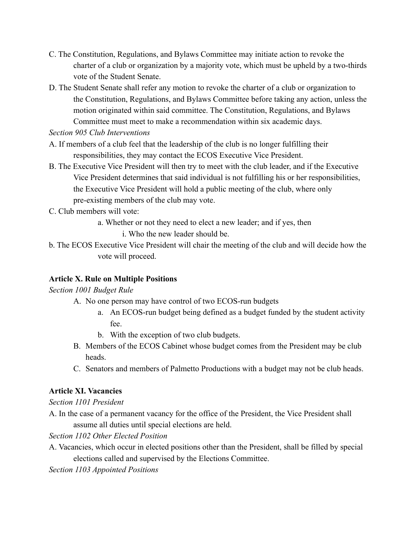- C. The Constitution, Regulations, and Bylaws Committee may initiate action to revoke the charter of a club or organization by a majority vote, which must be upheld by a two-thirds vote of the Student Senate.
- D. The Student Senate shall refer any motion to revoke the charter of a club or organization to the Constitution, Regulations, and Bylaws Committee before taking any action, unless the motion originated within said committee. The Constitution, Regulations, and Bylaws Committee must meet to make a recommendation within six academic days.

*Section 905 Club Interventions*

- A. If members of a club feel that the leadership of the club is no longer fulfilling their responsibilities, they may contact the ECOS Executive Vice President.
- B. The Executive Vice President will then try to meet with the club leader, and if the Executive Vice President determines that said individual is not fulfilling his or her responsibilities, the Executive Vice President will hold a public meeting of the club, where only pre-existing members of the club may vote.
- C. Club members will vote:
	- a. Whether or not they need to elect a new leader; and if yes, then
		- i. Who the new leader should be.
- b. The ECOS Executive Vice President will chair the meeting of the club and will decide how the vote will proceed.

## **Article X. Rule on Multiple Positions**

## *Section 1001 Budget Rule*

- A. No one person may have control of two ECOS-run budgets
	- a. An ECOS-run budget being defined as a budget funded by the student activity fee.
	- b. With the exception of two club budgets.
- B. Members of the ECOS Cabinet whose budget comes from the President may be club heads.
- C. Senators and members of Palmetto Productions with a budget may not be club heads.

# **Article XI. Vacancies**

## *Section 1101 President*

A. In the case of a permanent vacancy for the office of the President, the Vice President shall assume all duties until special elections are held.

*Section 1102 Other Elected Position*

A. Vacancies, which occur in elected positions other than the President, shall be filled by special elections called and supervised by the Elections Committee.

*Section 1103 Appointed Positions*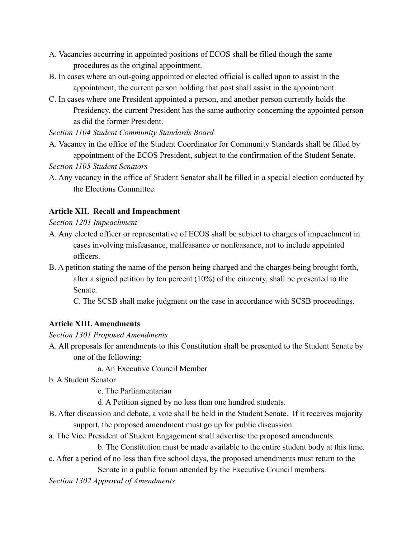- A. Vacancies occurring in appointed positions of ECOS shall be filled though the same procedures as the original appointment.
- B. In cases where an out-going appointed or elected official is called upon to assist in the appointment, the current person holding that post shall assist in the appointment.
- C. In cases where one President appointed a person, and another person currently holds the Presidency, the current President has the same authority concerning the appointed person as did the former President.

*Section 1104 Student Community Standards Board*

- A. Vacancy in the office of the Student Coordinator for Community Standards shall be filled by appointment of the ECOS President, subject to the confirmation of the Student Senate. *Section 1105 Student Senators*
- A. Any vacancy in the office of Student Senator shall be filled in a special election conducted by the Elections Committee.

## **Article XII. Recall and Impeachment**

*Section 1201 Impeachment*

- A. Any elected officer or representative of ECOS shall be subject to charges of impeachment in cases involving misfeasance, malfeasance or nonfeasance, not to include appointed officers.
- B. A petition stating the name of the person being charged and the charges being brought forth, after a signed petition by ten percent (10%) of the citizenry, shall be presented to the Senate.

C. The SCSB shall make judgment on the case in accordance with SCSB proceedings.

# **Article XIII. Amendments**

*Section 1301 Proposed Amendments*

A. All proposals for amendments to this Constitution shall be presented to the Student Senate by one of the following:

a. An Executive Council Member

- b. A Student Senator
	- c. The Parliamentarian
	- d. A Petition signed by no less than one hundred students.
- B. After discussion and debate, a vote shall be held in the Student Senate. If it receives majority support, the proposed amendment must go up for public discussion.
- a. The Vice President of Student Engagement shall advertise the proposed amendments.

b. The Constitution must be made available to the entire student body at this time.

c. After a period of no less than five school days, the proposed amendments must return to the Senate in a public forum attended by the Executive Council members.

*Section 1302 Approval of Amendments*